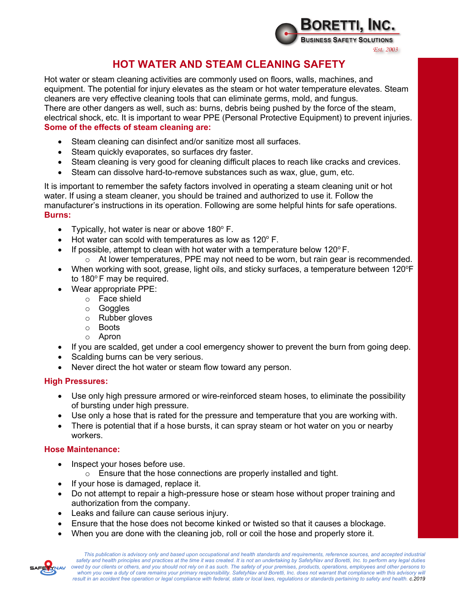

# **HOT WATER AND STEAM CLEANING SAFETY**

Hot water or steam cleaning activities are commonly used on floors, walls, machines, and equipment. The potential for injury elevates as the steam or hot water temperature elevates. Steam cleaners are very effective cleaning tools that can eliminate germs, mold, and fungus. There are other dangers as well, such as: burns, debris being pushed by the force of the steam, electrical shock, etc. It is important to wear PPE (Personal Protective Equipment) to prevent injuries. **Some of the effects of steam cleaning are:**

- Steam cleaning can disinfect and/or sanitize most all surfaces.
- Steam quickly evaporates, so surfaces dry faster.
- Steam cleaning is very good for cleaning difficult places to reach like cracks and crevices.
- Steam can dissolve hard-to-remove substances such as wax, glue, gum, etc.

It is important to remember the safety factors involved in operating a steam cleaning unit or hot water. If using a steam cleaner, you should be trained and authorized to use it. Follow the manufacturer's instructions in its operation. Following are some helpful hints for safe operations. **Burns:**

- Typically, hot water is near or above  $180^\circ$  F.
- Hot water can scold with temperatures as low as  $120^{\circ}$  F.
- If possible, attempt to clean with hot water with a temperature below 120 $\degree$ F.
	- $\circ$  At lower temperatures, PPE may not need to be worn, but rain gear is recommended.
- When working with soot, grease, light oils, and sticky surfaces, a temperature between 120°F to  $180^\circ$  F may be required.
- Wear appropriate PPE:
	- o Face shield
	- o Goggles
	- o Rubber gloves
	- o Boots
	- o Apron
- If you are scalded, get under a cool emergency shower to prevent the burn from going deep.
- Scalding burns can be very serious.
- Never direct the hot water or steam flow toward any person.

#### **High Pressures:**

- Use only high pressure armored or wire-reinforced steam hoses, to eliminate the possibility of bursting under high pressure.
- Use only a hose that is rated for the pressure and temperature that you are working with.
- There is potential that if a hose bursts, it can spray steam or hot water on you or nearby workers.

#### **Hose Maintenance:**

- Inspect your hoses before use.
	- o Ensure that the hose connections are properly installed and tight.
- If your hose is damaged, replace it.
- Do not attempt to repair a high-pressure hose or steam hose without proper training and authorization from the company.
- Leaks and failure can cause serious injury.
- Ensure that the hose does not become kinked or twisted so that it causes a blockage.
- When you are done with the cleaning job, roll or coil the hose and properly store it.

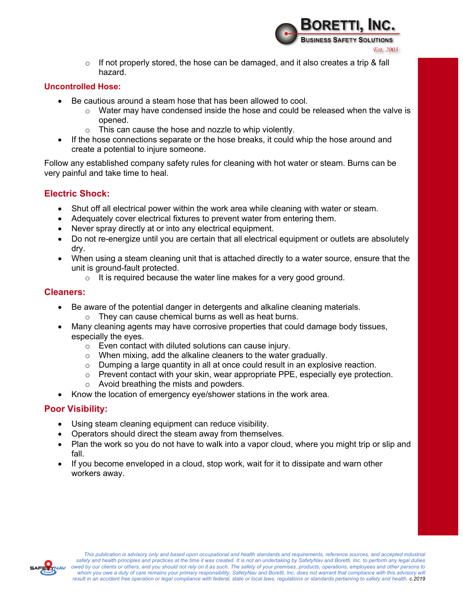

*es*<br>o If not properly stored, the hose can be damaged, and it also creates a trip & fall د hazard.

#### **Uncontrolled Hose:**

- Be cautious around a steam hose that has been allowed to cool.
	- $\circ$  Water may have condensed inside the hose and could be released when the valve is opened.
	- o This can cause the hose and nozzle to whip violently.
- If the hose connections separate or the hose breaks, it could whip the hose around and create a potential to injure someone.

Follow any established company safety rules for cleaning with hot water or steam. Burns can be very painful and take time to heal.

#### **Electric Shock:**

- Shut off all electrical power within the work area while cleaning with water or steam.
- Adequately cover electrical fixtures to prevent water from entering them.
- Never spray directly at or into any electrical equipment.
- Do not re-energize until you are certain that all electrical equipment or outlets are absolutely dry.
- When using a steam cleaning unit that is attached directly to a water source, ensure that the unit is ground-fault protected.
	- o It is required because the water line makes for a very good ground.

#### **Cleaners:**

- Be aware of the potential danger in detergents and alkaline cleaning materials.
	- o They can cause chemical burns as well as heat burns.
- Many cleaning agents may have corrosive properties that could damage body tissues, especially the eyes.
	- o Even contact with diluted solutions can cause injury.
	- o When mixing, add the alkaline cleaners to the water gradually.
	- $\circ$  Dumping a large quantity in all at once could result in an explosive reaction.
	- $\circ$  Prevent contact with your skin, wear appropriate PPE, especially eye protection.
	- o Avoid breathing the mists and powders.
- Know the location of emergency eye/shower stations in the work area.

## **Poor Visibility:**

- Using steam cleaning equipment can reduce visibility.
- Operators should direct the steam away from themselves.
- Plan the work so you do not have to walk into a vapor cloud, where you might trip or slip and fall.
- If you become enveloped in a cloud, stop work, wait for it to dissipate and warn other workers away.

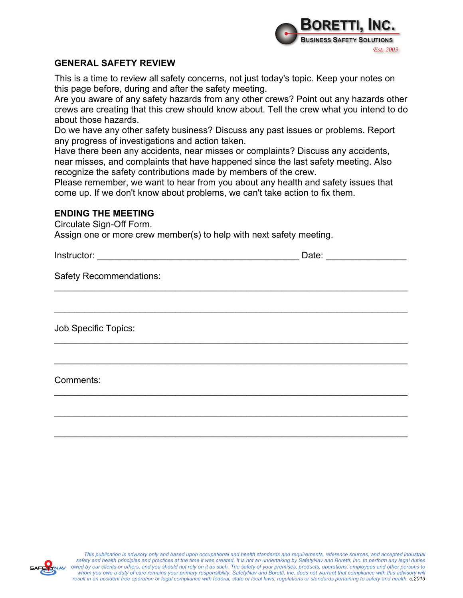

### **GENERAL SAFETY REVIEW**

This is a time to review all safety concerns, not just today's topic. Keep your notes on this page before, during and after the safety meeting.

Are you aware of any safety hazards from any other crews? Point out any hazards other crews are creating that this crew should know about. Tell the crew what you intend to do about those hazards.

Do we have any other safety business? Discuss any past issues or problems. Report any progress of investigations and action taken.

Have there been any accidents, near misses or complaints? Discuss any accidents, near misses, and complaints that have happened since the last safety meeting. Also

recognize the safety contributions made by members of the crew.

Please remember, we want to hear from you about any health and safety issues that come up. If we don't know about problems, we can't take action to fix them.

 $\mathcal{L}_\text{max} = \mathcal{L}_\text{max} = \mathcal{L}_\text{max} = \mathcal{L}_\text{max} = \mathcal{L}_\text{max} = \mathcal{L}_\text{max} = \mathcal{L}_\text{max} = \mathcal{L}_\text{max} = \mathcal{L}_\text{max} = \mathcal{L}_\text{max} = \mathcal{L}_\text{max} = \mathcal{L}_\text{max} = \mathcal{L}_\text{max} = \mathcal{L}_\text{max} = \mathcal{L}_\text{max} = \mathcal{L}_\text{max} = \mathcal{L}_\text{max} = \mathcal{L}_\text{max} = \mathcal{$ 

\_\_\_\_\_\_\_\_\_\_\_\_\_\_\_\_\_\_\_\_\_\_\_\_\_\_\_\_\_\_\_\_\_\_\_\_\_\_\_\_\_\_\_\_\_\_\_\_\_\_\_\_\_\_\_\_\_\_\_\_\_\_\_\_\_\_\_\_\_\_

\_\_\_\_\_\_\_\_\_\_\_\_\_\_\_\_\_\_\_\_\_\_\_\_\_\_\_\_\_\_\_\_\_\_\_\_\_\_\_\_\_\_\_\_\_\_\_\_\_\_\_\_\_\_\_\_\_\_\_\_\_\_\_\_\_\_\_\_\_\_

 $\mathcal{L}_\text{max} = \mathcal{L}_\text{max} = \mathcal{L}_\text{max} = \mathcal{L}_\text{max} = \mathcal{L}_\text{max} = \mathcal{L}_\text{max} = \mathcal{L}_\text{max} = \mathcal{L}_\text{max} = \mathcal{L}_\text{max} = \mathcal{L}_\text{max} = \mathcal{L}_\text{max} = \mathcal{L}_\text{max} = \mathcal{L}_\text{max} = \mathcal{L}_\text{max} = \mathcal{L}_\text{max} = \mathcal{L}_\text{max} = \mathcal{L}_\text{max} = \mathcal{L}_\text{max} = \mathcal{$ 

 $\mathcal{L}_\text{max} = \mathcal{L}_\text{max} = \mathcal{L}_\text{max} = \mathcal{L}_\text{max} = \mathcal{L}_\text{max} = \mathcal{L}_\text{max} = \mathcal{L}_\text{max} = \mathcal{L}_\text{max} = \mathcal{L}_\text{max} = \mathcal{L}_\text{max} = \mathcal{L}_\text{max} = \mathcal{L}_\text{max} = \mathcal{L}_\text{max} = \mathcal{L}_\text{max} = \mathcal{L}_\text{max} = \mathcal{L}_\text{max} = \mathcal{L}_\text{max} = \mathcal{L}_\text{max} = \mathcal{$ 

\_\_\_\_\_\_\_\_\_\_\_\_\_\_\_\_\_\_\_\_\_\_\_\_\_\_\_\_\_\_\_\_\_\_\_\_\_\_\_\_\_\_\_\_\_\_\_\_\_\_\_\_\_\_\_\_\_\_\_\_\_\_\_\_\_\_\_\_\_\_

\_\_\_\_\_\_\_\_\_\_\_\_\_\_\_\_\_\_\_\_\_\_\_\_\_\_\_\_\_\_\_\_\_\_\_\_\_\_\_\_\_\_\_\_\_\_\_\_\_\_\_\_\_\_\_\_\_\_\_\_\_\_\_\_\_\_\_\_\_\_

#### **ENDING THE MEETING**

Circulate Sign-Off Form.

Assign one or more crew member(s) to help with next safety meeting.

Instructor: \_\_\_\_\_\_\_\_\_\_\_\_\_\_\_\_\_\_\_\_\_\_\_\_\_\_\_\_\_\_\_\_\_\_\_\_\_\_\_\_ Date: \_\_\_\_\_\_\_\_\_\_\_\_\_\_\_\_

Safety Recommendations:

Job Specific Topics:

Comments:



*This publication is advisory only and based upon occupational and health standards and requirements, reference sources, and accepted industrial safety and health principles and practices at the time it was created. It is not an undertaking by SafetyNav and Boretti, Inc. to perform any legal duties owed by our clients or others, and you should not rely on it as such. The safety of your premises, products, operations, employees and other persons to whom you owe a duty of care remains your primary responsibility. SafetyNav and Boretti, Inc. does not warrant that compliance with this advisory will result in an accident free operation or legal compliance with federal, state or local laws, regulations or standards pertaining to safety and health. c.2019*